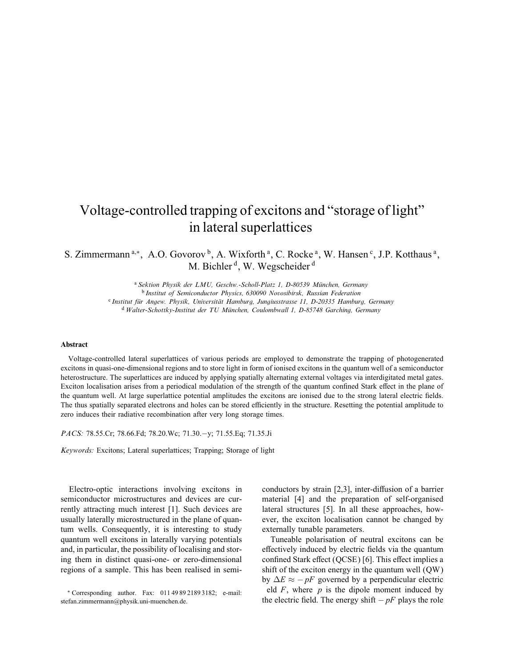## Voltage-controlled trapping of excitons and "storage of light" in lateral superlattices

S. Zimmermann<sup>a,\*</sup>, A.O. Govorov<sup>b</sup>, A. Wixforth<sup>a</sup>, C. Rocke<sup>a</sup>, W. Hansen<sup>c</sup>, J.P. Kotthaus<sup>a</sup>, M. Bichler<sup>d</sup>, W. Wegscheider<sup>d</sup>

> <sup>a</sup> Sektion Physik der LMU, Geschw.-Scholl-Platz 1, D-80539 München, Germany <sup>b</sup> Institut of Semiconductor Physics, 630090 Novosibirsk, Russian Federation <sup>c</sup> Institut für Angew. Physik, Universität Hamburg, Jungiusstrasse 11, D-20335 Hamburg, Germany <sup>d</sup> Walter-Schottky-Institut der TU Munchen, Coulombwall 1, D-85748 Garching, Germany

## Abstract

Voltage-controlled lateral superlattices of various periods are employed to demonstrate the trapping of photogenerated excitons in quasi-one-dimensional regions and to store light in form of ionised excitons in the quantum well of a semiconductor heterostructure. The superlattices are induced by applying spatially alternating external voltages via interdigitated metal gates. Exciton localisation arises from a periodical modulation of the strength of the quantum confined Stark effect in the plane of the quantum well. At large superlattice potential amplitudes the excitons are ionised due to the strong lateral electric fields. The thus spatially separated electrons and holes can be stored efficiently in the structure. Resetting the potential amplitude to zero induces their radiative recombination after very long storage times.

PACS: 78.55.Cr; 78.66.Fd; 78.20.Wc; 71.30.−y; 71.55.Eq; 71.35.Ji

Keywords: Excitons; Lateral superlattices; Trapping; Storage of light

Electro-optic interactions involving excitons in semiconductor microstructures and devices are currently attracting much interest [1]. Such devices are usually laterally microstructured in the plane of quantum wells. Consequently, it is interesting to study quantum well excitons in laterally varying potentials and, in particular, the possibility of localising and storing them in distinct quasi-one- or zero-dimensional regions of a sample. This has been realised in semi-

∗ Corresponding author. Fax: 011 49 89 2189 3182; e-mail: stefan.zimmermann@physik.uni-muenchen.de.

conductors by strain  $[2,3]$ , inter-diffusion of a barrier material [4] and the preparation of self-organised lateral structures [5]. In all these approaches, however, the exciton localisation cannot be changed by externally tunable parameters.

Tuneable polarisation of neutral excitons can be effectively induced by electric fields via the quantum confined Stark effect (QCSE) [6]. This effect implies a shift of the exciton energy in the quantum well (QW) by  $\Delta E \approx -pF$  governed by a perpendicular electric eld  $F$ , where  $p$  is the dipole moment induced by the electric field. The energy shift  $-pF$  plays the role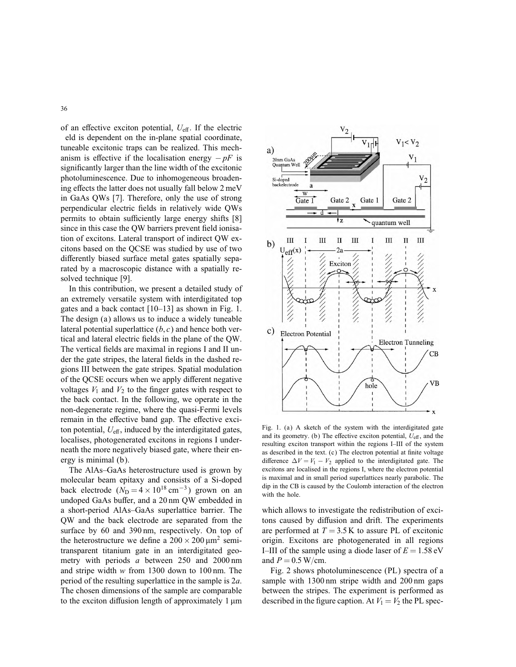of an effective exciton potential,  $U_{\text{eff}}$ . If the electric

eld is dependent on the in-plane spatial coordinate, tuneable excitonic traps can be realized. This mechanism is effective if the localisation energy  $-pF$  is signicantly larger than the line width of the excitonic photoluminescence. Due to inhomogeneous broadening effects the latter does not usually fall below 2 meV in GaAs QWs [7]. Therefore, only the use of strong perpendicular electric fields in relatively wide OWs permits to obtain sufficiently large energy shifts [8] since in this case the QW barriers prevent field ionisation of excitons. Lateral transport of indirect QW excitons based on the QCSE was studied by use of two differently biased surface metal gates spatially separated by a macroscopic distance with a spatially resolved technique [9].

In this contribution, we present a detailed study of an extremely versatile system with interdigitated top gates and a back contact [10–13] as shown in Fig. 1. The design (a) allows us to induce a widely tuneable lateral potential superlattice  $(b, c)$  and hence both vertical and lateral electric fields in the plane of the QW. The vertical fields are maximal in regions I and II under the gate stripes, the lateral fields in the dashed regions III between the gate stripes. Spatial modulation of the QCSE occurs when we apply different negative voltages  $V_1$  and  $V_2$  to the finger gates with respect to the back contact. In the following, we operate in the non-degenerate regime, where the quasi-Fermi levels remain in the effective band gap. The effective exciton potential,  $U_{\text{eff}}$ , induced by the interdigitated gates, localises, photogenerated excitons in regions I underneath the more negatively biased gate, where their energy is minimal (b).

The AlAs–GaAs heterostructure used is grown by molecular beam epitaxy and consists of a Si-doped back electrode  $(N_D = 4 \times 10^{18} \text{ cm}^{-3})$  grown on an undoped GaAs buffer, and a 20 nm QW embedded in a short-period AlAs–GaAs superlattice barrier. The QW and the back electrode are separated from the surface by 60 and 390 nm, respectively. On top of the heterostructure we define a  $200 \times 200 \,\mu\text{m}^2$  semitransparent titanium gate in an interdigitated geometry with periods *a* between 250 and 2000 nm and stripe width w from 1300 down to 100 nm. The period of the resulting superlattice in the sample is 2a. The chosen dimensions of the sample are comparable to the exciton diffusion length of approximately  $1 \mu m$ 



Fig. 1. (a) A sketch of the system with the interdigitated gate and its geometry. (b) The effective exciton potential,  $U_{\text{eff}}$ , and the resulting exciton transport within the regions I–III of the system as described in the text. (c) The electron potential at finite voltage difference  $\Delta V = V_1 - V_2$  applied to the interdigitated gate. The excitons are localised in the regions I, where the electron potential is maximal and in small period superlattices nearly parabolic. The dip in the CB is caused by the Coulomb interaction of the electron with the hole.

which allows to investigate the redistribution of excitons caused by diffusion and drift. The experiments are performed at  $T = 3.5$  K to assure PL of excitonic origin. Excitons are photogenerated in all regions I–III of the sample using a diode laser of  $E = 1.58$  eV and  $P = 0.5$  W/cm.

Fig. 2 shows photoluminescence (PL) spectra of a sample with 1300 nm stripe width and 200 nm gaps between the stripes. The experiment is performed as described in the figure caption. At  $V_1 = V_2$  the PL spec-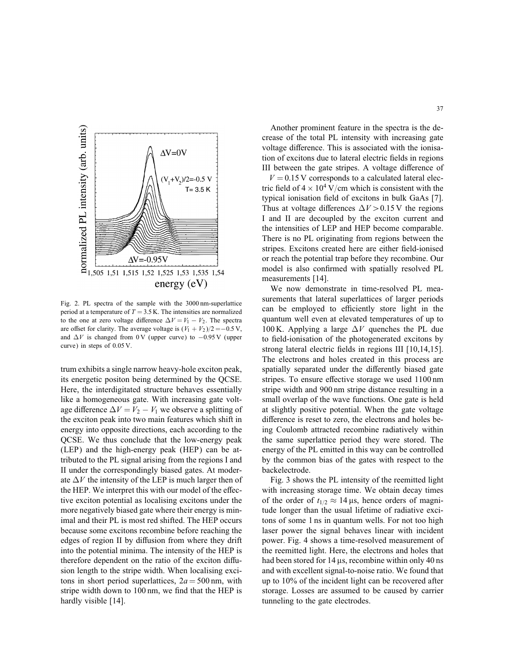

Fig. 2. PL spectra of the sample with the 3000 nm-superlattice period at a temperature of  $T = 3.5$  K. The intensities are normalized to the one at zero voltage difference  $\Delta V = V_1 - V_2$ . The spectra are offset for clarity. The average voltage is  $(V_1 + V_2)/2 = -0.5$  V, and  $\Delta V$  is changed from 0 V (upper curve) to  $-0.95$  V (upper curve) in steps of 0.05 V.

trum exhibits a single narrow heavy-hole exciton peak, its energetic positon being determined by the QCSE. Here, the interdigitated structure behaves essentially like a homogeneous gate. With increasing gate voltage difference  $\Delta V = V_2 - V_1$  we observe a splitting of the exciton peak into two main features which shift in energy into opposite directions, each according to the QCSE. We thus conclude that the low-energy peak (LEP) and the high-energy peak (HEP) can be attributed to the PL signal arising from the regions I and II under the correspondingly biased gates. At moderate  $\Delta V$  the intensity of the LEP is much larger then of the HEP. We interpret this with our model of the effective exciton potential as localising excitons under the more negatively biased gate where their energy is minimal and their PL is most red shifted. The HEP occurs because some excitons recombine before reaching the edges of region II by diffusion from where they drift into the potential minima. The intensity of the HEP is therefore dependent on the ratio of the exciton diffusion length to the stripe width. When localising excitons in short period superlattices,  $2a = 500$  nm, with stripe width down to 100 nm, we find that the HEP is hardly visible [14].

Another prominent feature in the spectra is the decrease of the total PL intensity with increasing gate voltage difference. This is associated with the ionisation of excitons due to lateral electric fields in regions III between the gate stripes. A voltage difference of

 $V = 0.15$  V corresponds to a calculated lateral electric field of  $4 \times 10^4$  V/cm which is consistent with the typical ionisation field of excitons in bulk GaAs [7]. Thus at voltage differences  $\Delta V > 0.15$  V the regions I and II are decoupled by the exciton current and the intensities of LEP and HEP become comparable. There is no PL originating from regions between the stripes. Excitons created here are either field-ionised or reach the potential trap before they recombine. Our model is also confirmed with spatially resolved PL measurements [14].

We now demonstrate in time-resolved PL measurements that lateral superlattices of larger periods can be employed to efficiently store light in the quantum well even at elevated temperatures of up to 100 K. Applying a large  $\Delta V$  quenches the PL due to field-ionisation of the photogenerated excitons by strong lateral electric fields in regions III  $[10,14,15]$ . The electrons and holes created in this process are spatially separated under the differently biased gate stripes. To ensure effective storage we used 1100 nm stripe width and 900 nm stripe distance resulting in a small overlap of the wave functions. One gate is held at slightly positive potential. When the gate voltage difference is reset to zero, the electrons and holes being Coulomb attracted recombine radiatively within the same superlattice period they were stored. The energy of the PL emitted in this way can be controlled by the common bias of the gates with respect to the backelectrode.

Fig. 3 shows the PL intensity of the reemitted light with increasing storage time. We obtain decay times of the order of  $t_{1/2} \approx 14 \,\mu s$ , hence orders of magnitude longer than the usual lifetime of radiative excitons of some 1 ns in quantum wells. For not too high laser power the signal behaves linear with incident power. Fig. 4 shows a time-resolved measurement of the reemitted light. Here, the electrons and holes that had been stored for  $14 \mu s$ , recombine within only 40 ns and with excellent signal-to-noise ratio. We found that up to 10% of the incident light can be recovered after storage. Losses are assumed to be caused by carrier tunneling to the gate electrodes.